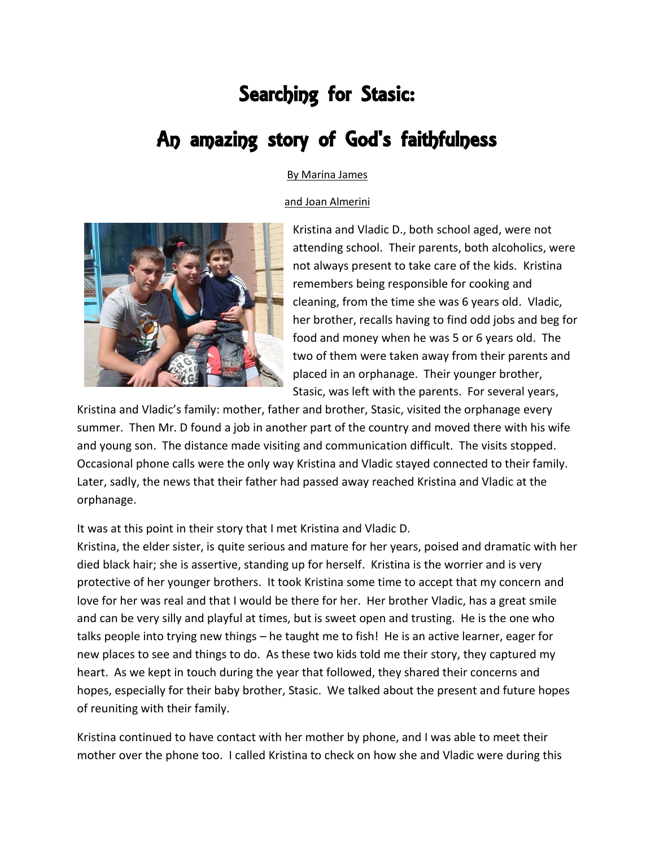## Searching for Stasic: An amazing story of God's faithfulness

## By Marina James

## and Joan Almerini



Kristina and Vladic D., both school aged, were not attending school. Their parents, both alcoholics, were not always present to take care of the kids. Kristina remembers being responsible for cooking and cleaning, from the time she was 6 years old. Vladic, her brother, recalls having to find odd jobs and beg for food and money when he was 5 or 6 years old. The two of them were taken away from their parents and placed in an orphanage. Their younger brother, Stasic, was left with the parents. For several years,

Kristina and Vladic's family: mother, father and brother, Stasic, visited the orphanage every summer. Then Mr. D found a job in another part of the country and moved there with his wife and young son. The distance made visiting and communication difficult. The visits stopped. Occasional phone calls were the only way Kristina and Vladic stayed connected to their family. Later, sadly, the news that their father had passed away reached Kristina and Vladic at the orphanage.

It was at this point in their story that I met Kristina and Vladic D.

Kristina, the elder sister, is quite serious and mature for her years, poised and dramatic with her died black hair; she is assertive, standing up for herself. Kristina is the worrier and is very protective of her younger brothers. It took Kristina some time to accept that my concern and love for her was real and that I would be there for her. Her brother Vladic, has a great smile and can be very silly and playful at times, but is sweet open and trusting. He is the one who talks people into trying new things – he taught me to fish! He is an active learner, eager for new places to see and things to do. As these two kids told me their story, they captured my heart. As we kept in touch during the year that followed, they shared their concerns and hopes, especially for their baby brother, Stasic. We talked about the present and future hopes of reuniting with their family.

Kristina continued to have contact with her mother by phone, and I was able to meet their mother over the phone too. I called Kristina to check on how she and Vladic were during this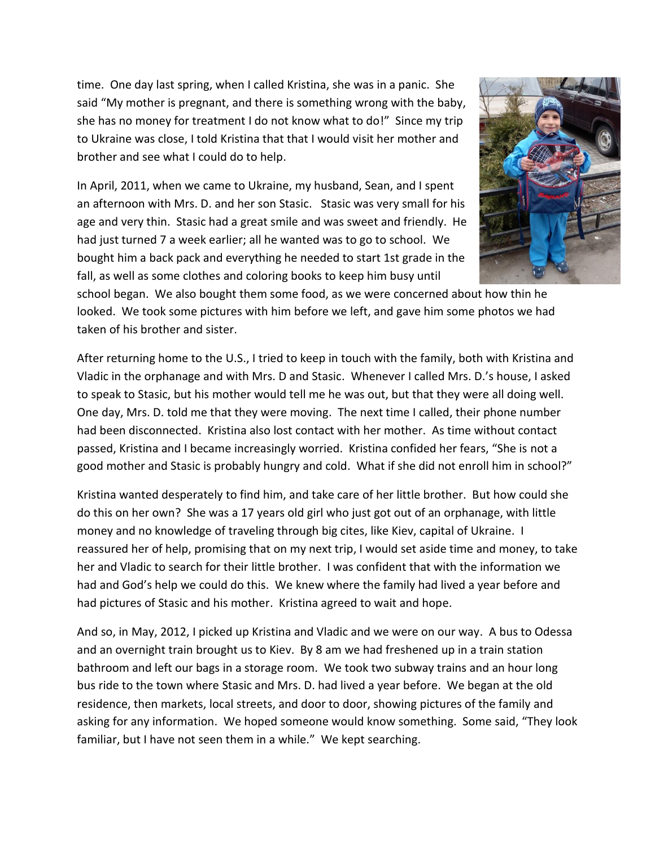time. One day last spring, when I called Kristina, she was in a panic. She said "My mother is pregnant, and there is something wrong with the baby, she has no money for treatment I do not know what to do!" Since my trip to Ukraine was close, I told Kristina that that I would visit her mother and brother and see what I could do to help.

In April, 2011, when we came to Ukraine, my husband, Sean, and I spent an afternoon with Mrs. D. and her son Stasic. Stasic was very small for his age and very thin. Stasic had a great smile and was sweet and friendly. He had just turned 7 a week earlier; all he wanted was to go to school. We bought him a back pack and everything he needed to start 1st grade in the fall, as well as some clothes and coloring books to keep him busy until



school began. We also bought them some food, as we were concerned about how thin he looked. We took some pictures with him before we left, and gave him some photos we had taken of his brother and sister.

After returning home to the U.S., I tried to keep in touch with the family, both with Kristina and Vladic in the orphanage and with Mrs. D and Stasic. Whenever I called Mrs. D.'s house, I asked to speak to Stasic, but his mother would tell me he was out, but that they were all doing well. One day, Mrs. D. told me that they were moving. The next time I called, their phone number had been disconnected. Kristina also lost contact with her mother. As time without contact passed, Kristina and I became increasingly worried. Kristina confided her fears, "She is not a good mother and Stasic is probably hungry and cold. What if she did not enroll him in school?"

Kristina wanted desperately to find him, and take care of her little brother. But how could she do this on her own? She was a 17 years old girl who just got out of an orphanage, with little money and no knowledge of traveling through big cites, like Kiev, capital of Ukraine. I reassured her of help, promising that on my next trip, I would set aside time and money, to take her and Vladic to search for their little brother. I was confident that with the information we had and God's help we could do this. We knew where the family had lived a year before and had pictures of Stasic and his mother. Kristina agreed to wait and hope.

And so, in May, 2012, I picked up Kristina and Vladic and we were on our way. A bus to Odessa and an overnight train brought us to Kiev. By 8 am we had freshened up in a train station bathroom and left our bags in a storage room. We took two subway trains and an hour long bus ride to the town where Stasic and Mrs. D. had lived a year before. We began at the old residence, then markets, local streets, and door to door, showing pictures of the family and asking for any information. We hoped someone would know something. Some said, "They look familiar, but I have not seen them in a while." We kept searching.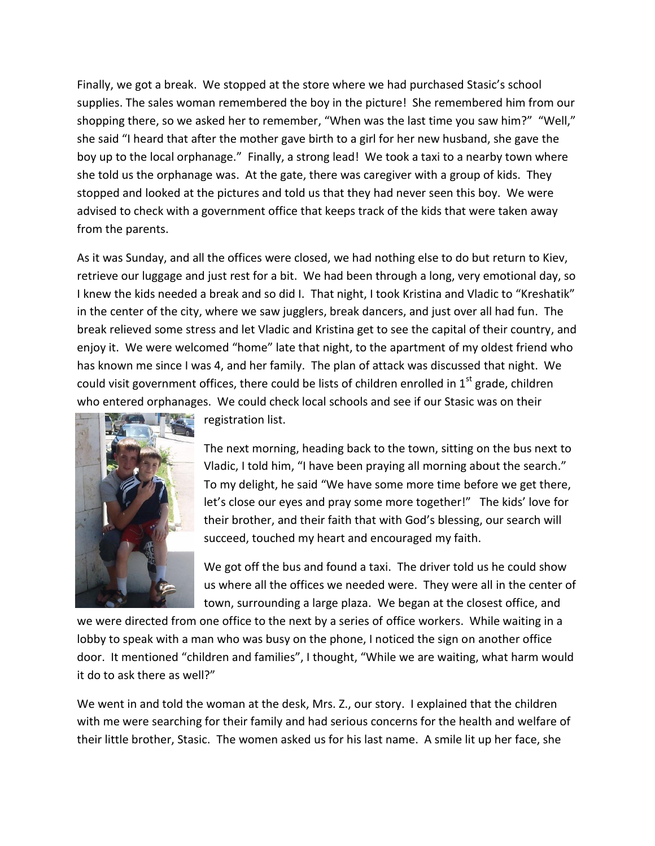Finally, we got a break. We stopped at the store where we had purchased Stasic's school supplies. The sales woman remembered the boy in the picture! She remembered him from our shopping there, so we asked her to remember, "When was the last time you saw him?" "Well," she said "I heard that after the mother gave birth to a girl for her new husband, she gave the boy up to the local orphanage." Finally, a strong lead! We took a taxi to a nearby town where she told us the orphanage was. At the gate, there was caregiver with a group of kids. They stopped and looked at the pictures and told us that they had never seen this boy. We were advised to check with a government office that keeps track of the kids that were taken away from the parents.

As it was Sunday, and all the offices were closed, we had nothing else to do but return to Kiev, retrieve our luggage and just rest for a bit. We had been through a long, very emotional day, so I knew the kids needed a break and so did I. That night, I took Kristina and Vladic to "Kreshatik" in the center of the city, where we saw jugglers, break dancers, and just over all had fun. The break relieved some stress and let Vladic and Kristina get to see the capital of their country, and enjoy it. We were welcomed "home" late that night, to the apartment of my oldest friend who has known me since I was 4, and her family. The plan of attack was discussed that night. We could visit government offices, there could be lists of children enrolled in  $1<sup>st</sup>$  grade, children who entered orphanages. We could check local schools and see if our Stasic was on their



registration list.

The next morning, heading back to the town, sitting on the bus next to Vladic, I told him, "I have been praying all morning about the search." To my delight, he said "We have some more time before we get there, let's close our eyes and pray some more together!" The kids' love for their brother, and their faith that with God's blessing, our search will succeed, touched my heart and encouraged my faith.

We got off the bus and found a taxi. The driver told us he could show us where all the offices we needed were. They were all in the center of town, surrounding a large plaza. We began at the closest office, and

we were directed from one office to the next by a series of office workers. While waiting in a lobby to speak with a man who was busy on the phone, I noticed the sign on another office door. It mentioned "children and families", I thought, "While we are waiting, what harm would it do to ask there as well?"

We went in and told the woman at the desk, Mrs. Z., our story. I explained that the children with me were searching for their family and had serious concerns for the health and welfare of their little brother, Stasic. The women asked us for his last name. A smile lit up her face, she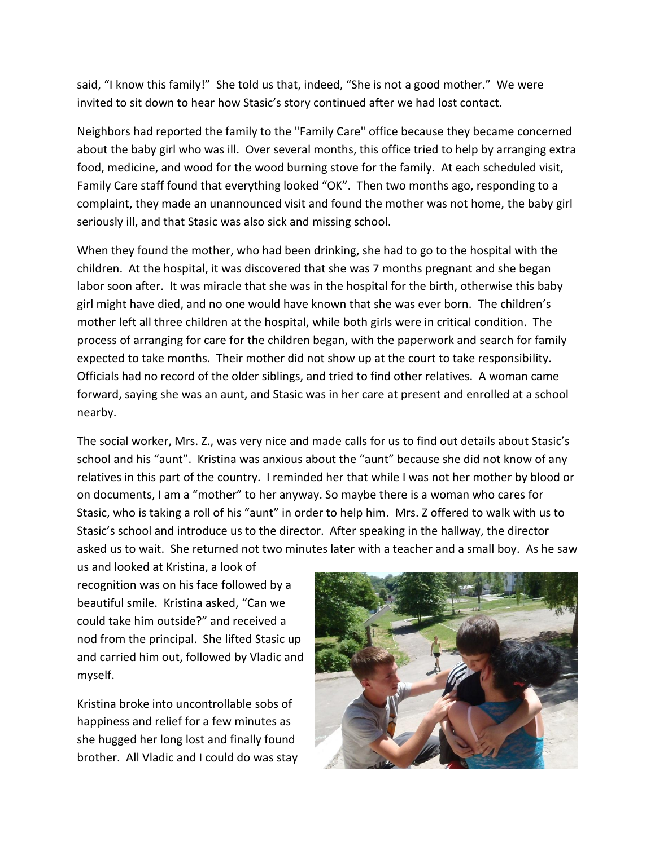said, "I know this family!" She told us that, indeed, "She is not a good mother." We were invited to sit down to hear how Stasic's story continued after we had lost contact.

Neighbors had reported the family to the "Family Care" office because they became concerned about the baby girl who was ill. Over several months, this office tried to help by arranging extra food, medicine, and wood for the wood burning stove for the family. At each scheduled visit, Family Care staff found that everything looked "OK". Then two months ago, responding to a complaint, they made an unannounced visit and found the mother was not home, the baby girl seriously ill, and that Stasic was also sick and missing school.

When they found the mother, who had been drinking, she had to go to the hospital with the children. At the hospital, it was discovered that she was 7 months pregnant and she began labor soon after. It was miracle that she was in the hospital for the birth, otherwise this baby girl might have died, and no one would have known that she was ever born. The children's mother left all three children at the hospital, while both girls were in critical condition. The process of arranging for care for the children began, with the paperwork and search for family expected to take months. Their mother did not show up at the court to take responsibility. Officials had no record of the older siblings, and tried to find other relatives. A woman came forward, saying she was an aunt, and Stasic was in her care at present and enrolled at a school nearby.

The social worker, Mrs. Z., was very nice and made calls for us to find out details about Stasic's school and his "aunt". Kristina was anxious about the "aunt" because she did not know of any relatives in this part of the country. I reminded her that while I was not her mother by blood or on documents, I am a "mother" to her anyway. So maybe there is a woman who cares for Stasic, who is taking a roll of his "aunt" in order to help him.Mrs. Z offered to walk with us to Stasic's school and introduce us to the director. After speaking in the hallway, the director asked us to wait. She returned not two minutes later with a teacher and a small boy. As he saw

us and looked at Kristina, a look of recognition was on his face followed by a beautiful smile. Kristina asked, "Can we could take him outside?" and received a nod from the principal. She lifted Stasic up and carried him out, followed by Vladic and myself.

Kristina broke into uncontrollable sobs of happiness and relief for a few minutes as she hugged her long lost and finally found brother. All Vladic and I could do was stay

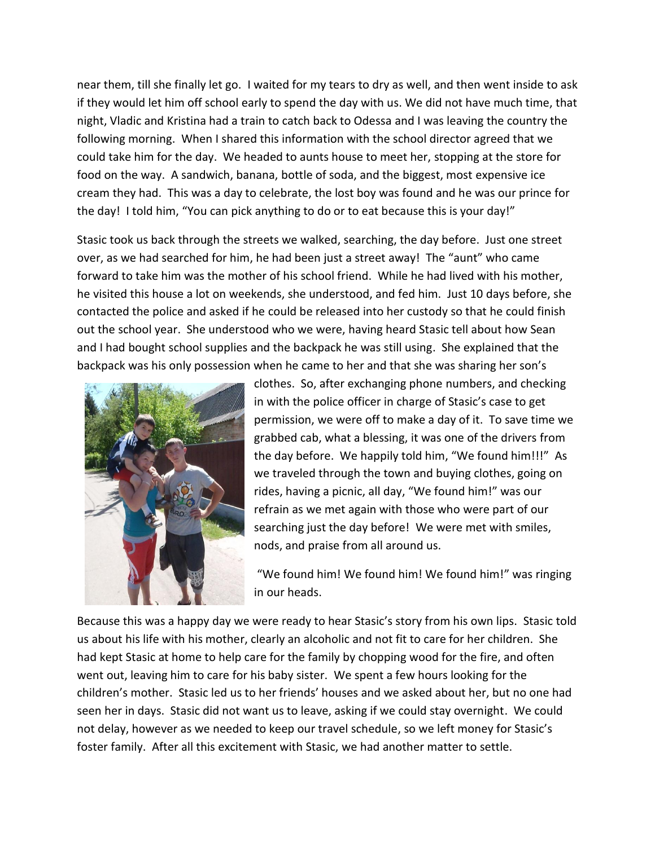near them, till she finally let go. I waited for my tears to dry as well, and then went inside to ask if they would let him off school early to spend the day with us. We did not have much time, that night, Vladic and Kristina had a train to catch back to Odessa and I was leaving the country the following morning. When I shared this information with the school director agreed that we could take him for the day. We headed to aunts house to meet her, stopping at the store for food on the way. A sandwich, banana, bottle of soda, and the biggest, most expensive ice cream they had. This was a day to celebrate, the lost boy was found and he was our prince for the day! I told him, "You can pick anything to do or to eat because this is your day!"

Stasic took us back through the streets we walked, searching, the day before. Just one street over, as we had searched for him, he had been just a street away! The "aunt" who came forward to take him was the mother of his school friend. While he had lived with his mother, he visited this house a lot on weekends, she understood, and fed him. Just 10 days before, she contacted the police and asked if he could be released into her custody so that he could finish out the school year. She understood who we were, having heard Stasic tell about how Sean and I had bought school supplies and the backpack he was still using. She explained that the backpack was his only possession when he came to her and that she was sharing her son's



clothes. So, after exchanging phone numbers, and checking in with the police officer in charge of Stasic's case to get permission, we were off to make a day of it. To save time we grabbed cab, what a blessing, it was one of the drivers from the day before. We happily told him, "We found him!!!" As we traveled through the town and buying clothes, going on rides, having a picnic, all day, "We found him!" was our refrain as we met again with those who were part of our searching just the day before! We were met with smiles, nods, and praise from all around us.

"We found him! We found him! We found him!" was ringing in our heads.

Because this was a happy day we were ready to hear Stasic's story from his own lips. Stasic told us about his life with his mother, clearly an alcoholic and not fit to care for her children. She had kept Stasic at home to help care for the family by chopping wood for the fire, and often went out, leaving him to care for his baby sister. We spent a few hours looking for the children's mother. Stasic led us to her friends' houses and we asked about her, but no one had seen her in days. Stasic did not want us to leave, asking if we could stay overnight. We could not delay, however as we needed to keep our travel schedule, so we left money for Stasic's foster family. After all this excitement with Stasic, we had another matter to settle.